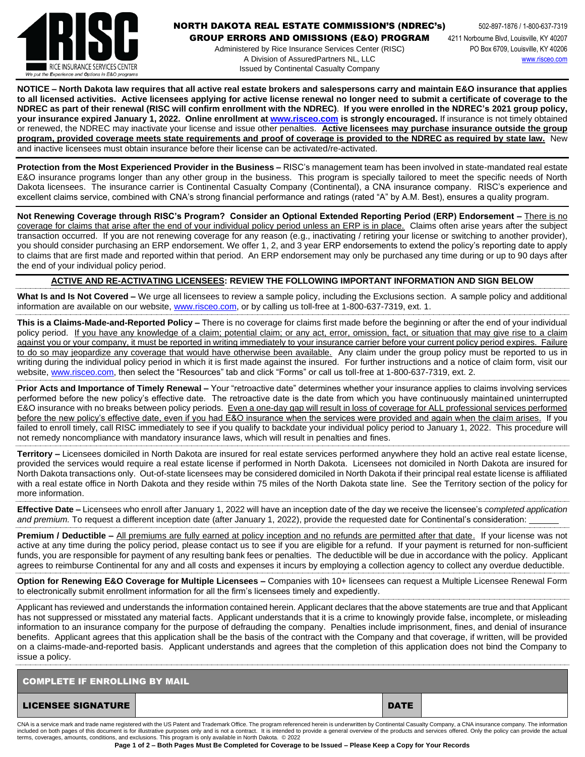

## **NORTH DAKOTA REAL ESTATE COMMISSION'S (NDREC's)** 502-897-1876 / 1-800-637-7319

GROUP ERRORS AND OMISSIONS (E&O) PROGRAM 4211 Norbourne Blvd, Louisville, KY 40207

Administered by Rice Insurance Services Center (RISC) PO Box 6709, Louisville, KY 40206 A Division of AssuredPartners NL, LLC [www.risceo.com](http://www.risceo.com/) Issued by Continental Casualty Company

**NOTICE – North Dakota law requires that all active real estate brokers and salespersons carry and maintain E&O insurance that applies to all licensed activities. Active licensees applying for active license renewal no longer need to submit a certificate of coverage to the NDREC as part of their renewal (RISC will confirm enrollment with the NDREC)**. **If you were enrolled in the NDREC's 2021 group policy, your insurance expired January 1, 2022. Online enrollment at [www.risceo.com](http://www.risceo.com/) is strongly encouraged.** If insurance is not timely obtained or renewed, the NDREC may inactivate your license and issue other penalties. **Active licensees may purchase insurance outside the group program, provided coverage meets state requirements and proof of coverage is provided to the NDREC as required by state law.** New and inactive licensees must obtain insurance before their license can be activated/re-activated.

**Protection from the Most Experienced Provider in the Business –** RISC's management team has been involved in state-mandated real estate E&O insurance programs longer than any other group in the business. This program is specially tailored to meet the specific needs of North Dakota licensees. The insurance carrier is Continental Casualty Company (Continental), a CNA insurance company. RISC's experience and excellent claims service, combined with CNA's strong financial performance and ratings (rated "A" by A.M. Best), ensures a quality program.

**Not Renewing Coverage through RISC's Program? Consider an Optional Extended Reporting Period (ERP) Endorsement –** There is no coverage for claims that arise after the end of your individual policy period unless an ERP is in place. Claims often arise years after the subject transaction occurred. If you are not renewing coverage for any reason (e.g., inactivating / retiring your license or switching to another provider), you should consider purchasing an ERP endorsement. We offer 1, 2, and 3 year ERP endorsements to extend the policy's reporting date to apply to claims that are first made and reported within that period. An ERP endorsement may only be purchased any time during or up to 90 days after the end of your individual policy period.

## **ACTIVE AND RE-ACTIVATING LICENSEES: REVIEW THE FOLLOWING IMPORTANT INFORMATION AND SIGN BELOW**

**What Is and Is Not Covered –** We urge all licensees to review a sample policy, including the Exclusions section. A sample policy and additional information are available on our website, [www.risceo.com,](http://www.risceo.com/) or by calling us toll-free at 1-800-637-7319, ext. 1.

**This is a Claims-Made-and-Reported Policy –** There is no coverage for claims first made before the beginning or after the end of your individual policy period. If you have any knowledge of a claim; potential claim; or any act, error, omission, fact, or situation that may give rise to a claim against you or your company, it must be reported in writing immediately to your insurance carrier before your current policy period expires. Failure to do so may jeopardize any coverage that would have otherwise been available. Any claim under the group policy must be reported to us in writing during the individual policy period in which it is first made against the insured. For further instructions and a notice of claim form, visit our website[, www.risceo.com,](http://www.risceo.com/notice-of-claim-form) then select the "Resources" tab and click "Forms" or call us toll-free at 1-800-637-7319, ext. 2.

**Prior Acts and Importance of Timely Renewal –** Your "retroactive date" determines whether your insurance applies to claims involving services performed before the new policy's effective date. The retroactive date is the date from which you have continuously maintained uninterrupted E&O insurance with no breaks between policy periods. Even a one-day gap will result in loss of coverage for ALL professional services performed before the new policy's effective date, even if you had E&O insurance when the services were provided and again when the claim arises. If you failed to enroll timely, call RISC immediately to see if you qualify to backdate your individual policy period to January 1, 2022. This procedure will not remedy noncompliance with mandatory insurance laws, which will result in penalties and fines.

**Territory –** Licensees domiciled in North Dakota are insured for real estate services performed anywhere they hold an active real estate license, provided the services would require a real estate license if performed in North Dakota. Licensees not domiciled in North Dakota are insured for North Dakota transactions only. Out-of-state licensees may be considered domiciled in North Dakota if their principal real estate license is affiliated with a real estate office in North Dakota and they reside within 75 miles of the North Dakota state line. See the Territory section of the policy for more information.

**Effective Date –** Licensees who enroll after January 1, 2022 will have an inception date of the day we receive the licensee's *completed application and premium.* To request a different inception date (after January 1, 2022), provide the requested date for Continental's consideration:

**Premium / Deductible –** All premiums are fully earned at policy inception and no refunds are permitted after that date. If your license was not active at any time during the policy period, please contact us to see if you are eligible for a refund. If your payment is returned for non-sufficient funds, you are responsible for payment of any resulting bank fees or penalties. The deductible will be due in accordance with the policy. Applicant agrees to reimburse Continental for any and all costs and expenses it incurs by employing a collection agency to collect any overdue deductible.

**Option for Renewing E&O Coverage for Multiple Licensees –** Companies with 10+ licensees can request a Multiple Licensee Renewal Form to electronically submit enrollment information for all the firm's licensees timely and expediently.

Applicant has reviewed and understands the information contained herein. Applicant declares that the above statements are true and that Applicant has not suppressed or misstated any material facts. Applicant understands that it is a crime to knowingly provide false, incomplete, or misleading information to an insurance company for the purpose of defrauding the company. Penalties include imprisonment, fines, and denial of insurance benefits. Applicant agrees that this application shall be the basis of the contract with the Company and that coverage, if written, will be provided on a claims-made-and-reported basis. Applicant understands and agrees that the completion of this application does not bind the Company to issue a policy.

| <b>COMPLETE IF ENROLLING BY MAIL</b> |  |             |  |  |  |  |  |
|--------------------------------------|--|-------------|--|--|--|--|--|
| <b>LICENSEE SIGNATURE</b>            |  | <b>DATE</b> |  |  |  |  |  |

CNA is a service mark and trade name registered with the US Patent and Trademark Office. The program referenced herein is underwritten by Continental Casualty Company, a CNA insurance company. The information included on both pages of this document is for illustrative purposes only and is not a contract. It is intended to provide a general overview of the products and services offered. Only the policy can provide the actual terms, coverages, amounts, conditions, and exclusions. This program is only available in North Dakota. © 2022